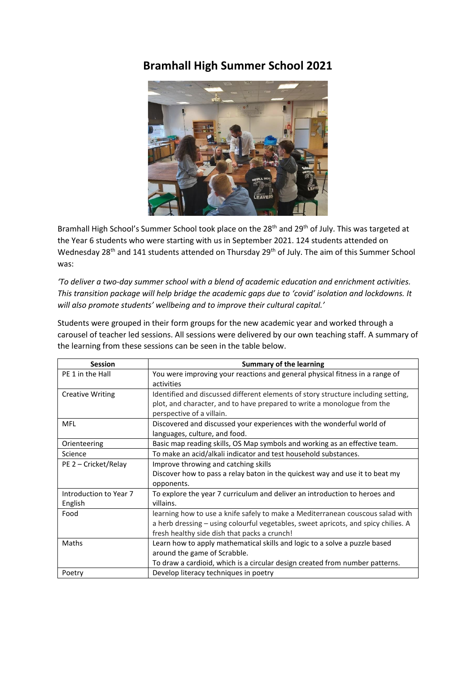## **Bramhall High Summer School 2021**



Bramhall High School's Summer School took place on the 28<sup>th</sup> and 29<sup>th</sup> of July. This was targeted at the Year 6 students who were starting with us in September 2021. 124 students attended on Wednesday 28<sup>th</sup> and 141 students attended on Thursday 29<sup>th</sup> of July. The aim of this Summer School was:

*'To deliver a two-day summer school with a blend of academic education and enrichment activities. This transition package will help bridge the academic gaps due to 'covid' isolation and lockdowns. It will also promote students' wellbeing and to improve their cultural capital.'*

Students were grouped in their form groups for the new academic year and worked through a carousel of teacher led sessions. All sessions were delivered by our own teaching staff. A summary of the learning from these sessions can be seen in the table below.

| <b>Session</b>          | <b>Summary of the learning</b>                                                     |
|-------------------------|------------------------------------------------------------------------------------|
| PE 1 in the Hall        | You were improving your reactions and general physical fitness in a range of       |
|                         | activities                                                                         |
| <b>Creative Writing</b> | Identified and discussed different elements of story structure including setting,  |
|                         | plot, and character, and to have prepared to write a monologue from the            |
|                         | perspective of a villain.                                                          |
| <b>MFL</b>              | Discovered and discussed your experiences with the wonderful world of              |
|                         | languages, culture, and food.                                                      |
| Orienteering            | Basic map reading skills, OS Map symbols and working as an effective team.         |
| Science                 | To make an acid/alkali indicator and test household substances.                    |
| PE 2 - Cricket/Relay    | Improve throwing and catching skills                                               |
|                         | Discover how to pass a relay baton in the quickest way and use it to beat my       |
|                         | opponents.                                                                         |
| Introduction to Year 7  | To explore the year 7 curriculum and deliver an introduction to heroes and         |
| English                 | villains.                                                                          |
| Food                    | learning how to use a knife safely to make a Mediterranean couscous salad with     |
|                         | a herb dressing - using colourful vegetables, sweet apricots, and spicy chilies. A |
|                         | fresh healthy side dish that packs a crunch!                                       |
| Maths                   | Learn how to apply mathematical skills and logic to a solve a puzzle based         |
|                         | around the game of Scrabble.                                                       |
|                         | To draw a cardioid, which is a circular design created from number patterns.       |
| Poetry                  | Develop literacy techniques in poetry                                              |